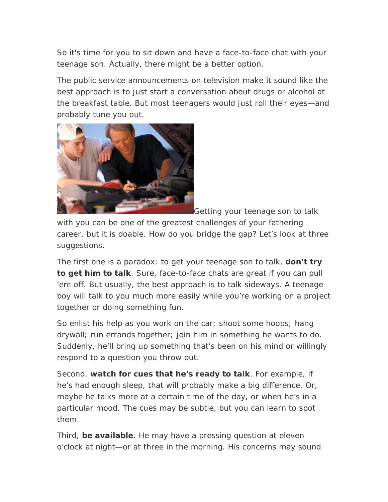So it's time for you to sit down and have a face-to-face chat with your teenage son. Actually, there might be a better option.

The public service announcements on television make it sound like the best approach is to just start a conversation about drugs or alcohol at the breakfast table. But most teenagers would just roll their eyes—and probably tune you out.



Getting your teenage son to talk

with you can be one of the greatest challenges of your fathering career, but it is doable. How do you bridge the gap? Let's look at three suggestions.

The first one is a paradox: to get your teenage son to talk, **don't try to get him to talk**. Sure, face-to-face chats are great if you can pull 'em off. But usually, the best approach is to talk sideways. A teenage boy will talk to you much more easily while you're working on a project together or doing something fun.

So enlist his help as you work on the car; shoot some hoops; hang drywall; run errands together; join him in something he wants to do. Suddenly, he'll bring up something that's been on his mind or willingly respond to a question you throw out.

Second, **watch for cues that he's ready to talk**. For example, if he's had enough sleep, that will probably make a big difference. Or, maybe he talks more at a certain time of the day, or when he's in a particular mood. The cues may be subtle, but you can learn to spot them.

Third, **be available**. He may have a pressing question at eleven o'clock at night—or at three in the morning. His concerns may sound